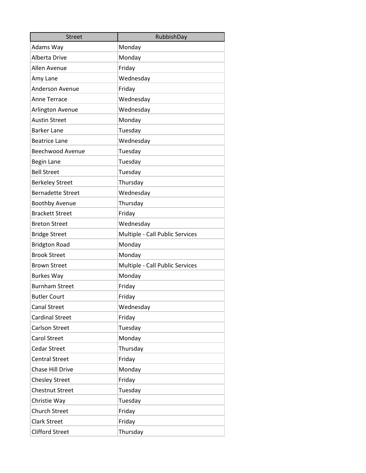| <b>Street</b>            | RubbishDay                      |
|--------------------------|---------------------------------|
| Adams Way                | Monday                          |
| Alberta Drive            | Monday                          |
| Allen Avenue             | Friday                          |
| Amy Lane                 | Wednesday                       |
| <b>Anderson Avenue</b>   | Friday                          |
| <b>Anne Terrace</b>      | Wednesday                       |
| Arlington Avenue         | Wednesday                       |
| <b>Austin Street</b>     | Monday                          |
| <b>Barker Lane</b>       | Tuesday                         |
| <b>Beatrice Lane</b>     | Wednesday                       |
| <b>Beechwood Avenue</b>  | Tuesday                         |
| <b>Begin Lane</b>        | Tuesday                         |
| <b>Bell Street</b>       | Tuesday                         |
| <b>Berkeley Street</b>   | Thursday                        |
| <b>Bernadette Street</b> | Wednesday                       |
| <b>Boothby Avenue</b>    | Thursday                        |
| <b>Brackett Street</b>   | Friday                          |
| <b>Breton Street</b>     | Wednesday                       |
| <b>Bridge Street</b>     | Multiple - Call Public Services |
| <b>Bridgton Road</b>     | Monday                          |
| <b>Brook Street</b>      | Monday                          |
| <b>Brown Street</b>      | Multiple - Call Public Services |
| <b>Burkes Way</b>        | Monday                          |
| <b>Burnham Street</b>    | Friday                          |
| <b>Butler Court</b>      | Friday                          |
| <b>Canal Street</b>      | Wednesday                       |
| <b>Cardinal Street</b>   | Friday                          |
| Carlson Street           | Tuesday                         |
| <b>Carol Street</b>      | Monday                          |
| <b>Cedar Street</b>      | Thursday                        |
| <b>Central Street</b>    | Friday                          |
| Chase Hill Drive         | Monday                          |
| <b>Chesley Street</b>    | Friday                          |
| <b>Chestnut Street</b>   | Tuesday                         |
| Christie Way             | Tuesday                         |
| <b>Church Street</b>     | Friday                          |
| <b>Clark Street</b>      | Friday                          |
| <b>Clifford Street</b>   | Thursday                        |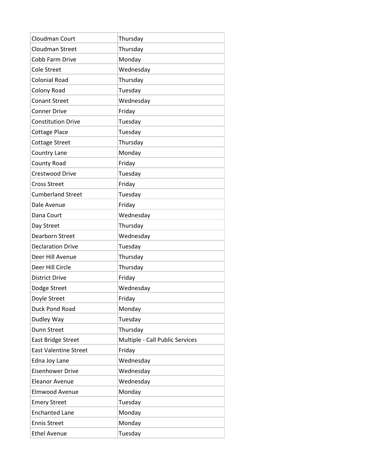| Cloudman Court            | Thursday                        |
|---------------------------|---------------------------------|
| <b>Cloudman Street</b>    | Thursday                        |
| Cobb Farm Drive           | Monday                          |
| <b>Cole Street</b>        | Wednesday                       |
| <b>Colonial Road</b>      | Thursday                        |
| Colony Road               | Tuesday                         |
| <b>Conant Street</b>      | Wednesday                       |
| <b>Conner Drive</b>       | Friday                          |
| <b>Constitution Drive</b> | Tuesday                         |
| <b>Cottage Place</b>      | Tuesday                         |
| <b>Cottage Street</b>     | Thursday                        |
| Country Lane              | Monday                          |
| County Road               | Friday                          |
| <b>Crestwood Drive</b>    | Tuesday                         |
| <b>Cross Street</b>       | Friday                          |
| <b>Cumberland Street</b>  | Tuesday                         |
| Dale Avenue               | Friday                          |
| Dana Court                | Wednesday                       |
| Day Street                | Thursday                        |
| <b>Dearborn Street</b>    | Wednesday                       |
| <b>Declaration Drive</b>  | Tuesday                         |
| Deer Hill Avenue          | Thursday                        |
| Deer Hill Circle          | Thursday                        |
| <b>District Drive</b>     | Friday                          |
| Dodge Street              | Wednesday                       |
| Doyle Street              | Friday                          |
| Duck Pond Road            | Monday                          |
| Dudley Way                | Tuesday                         |
| Dunn Street               | Thursday                        |
| <b>East Bridge Street</b> | Multiple - Call Public Services |
| East Valentine Street     | Friday                          |
| Edna Joy Lane             | Wednesday                       |
| <b>Eisenhower Drive</b>   | Wednesday                       |
| <b>Eleanor Avenue</b>     | Wednesday                       |
| Elmwood Avenue            | Monday                          |
| <b>Emery Street</b>       | Tuesday                         |
|                           |                                 |
| <b>Enchanted Lane</b>     | Monday                          |
| <b>Ennis Street</b>       | Monday                          |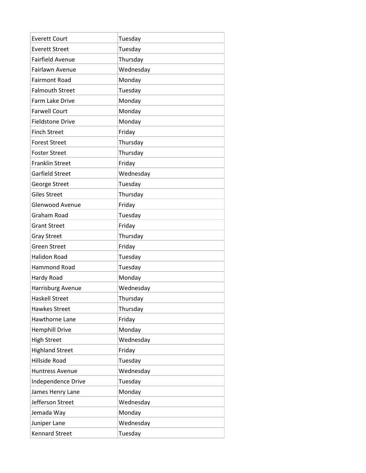| <b>Everett Court</b>    | Tuesday   |
|-------------------------|-----------|
| <b>Everett Street</b>   | Tuesday   |
| <b>Fairfield Avenue</b> | Thursday  |
| <b>Fairlawn Avenue</b>  | Wednesday |
| <b>Fairmont Road</b>    | Monday    |
| <b>Falmouth Street</b>  | Tuesday   |
| Farm Lake Drive         | Monday    |
| <b>Farwell Court</b>    | Monday    |
| <b>Fieldstone Drive</b> | Monday    |
| <b>Finch Street</b>     | Friday    |
| <b>Forest Street</b>    | Thursday  |
| <b>Foster Street</b>    | Thursday  |
| <b>Franklin Street</b>  | Friday    |
| <b>Garfield Street</b>  | Wednesday |
| George Street           | Tuesday   |
| <b>Giles Street</b>     | Thursday  |
| <b>Glenwood Avenue</b>  | Friday    |
| Graham Road             | Tuesday   |
| <b>Grant Street</b>     | Friday    |
| <b>Gray Street</b>      | Thursday  |
| <b>Green Street</b>     | Friday    |
| <b>Halidon Road</b>     | Tuesday   |
| Hammond Road            | Tuesday   |
| Hardy Road              | Monday    |
| Harrisburg Avenue       | Wednesday |
| <b>Haskell Street</b>   | Thursday  |
| <b>Hawkes Street</b>    | Thursday  |
| Hawthorne Lane          | Friday    |
| <b>Hemphill Drive</b>   | Monday    |
| <b>High Street</b>      | Wednesday |
| <b>Highland Street</b>  | Friday    |
| <b>Hillside Road</b>    | Tuesday   |
| <b>Huntress Avenue</b>  | Wednesday |
| Independence Drive      | Tuesday   |
| James Henry Lane        | Monday    |
| Jefferson Street        | Wednesday |
| Jemada Way              | Monday    |
| Juniper Lane            | Wednesday |
| <b>Kennard Street</b>   | Tuesday   |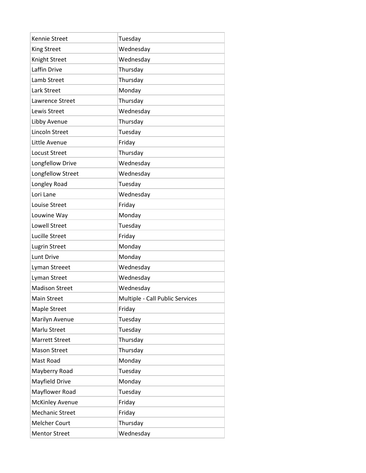| Kennie Street          | Tuesday                         |
|------------------------|---------------------------------|
| King Street            | Wednesday                       |
| Knight Street          | Wednesday                       |
| Laffin Drive           | Thursday                        |
| Lamb Street            | Thursday                        |
| Lark Street            | Monday                          |
| Lawrence Street        | Thursday                        |
| Lewis Street           | Wednesday                       |
| Libby Avenue           | Thursday                        |
| Lincoln Street         | Tuesday                         |
| Little Avenue          | Friday                          |
| <b>Locust Street</b>   | Thursday                        |
| Longfellow Drive       | Wednesday                       |
| Longfellow Street      | Wednesday                       |
| Longley Road           | Tuesday                         |
| Lori Lane              | Wednesday                       |
| Louise Street          | Friday                          |
| Louwine Way            | Monday                          |
| <b>Lowell Street</b>   | Tuesday                         |
| <b>Lucille Street</b>  | Friday                          |
| <b>Lugrin Street</b>   | Monday                          |
| Lunt Drive             | Monday                          |
| Lyman Streeet          | Wednesday                       |
| Lyman Street           | Wednesday                       |
| <b>Madison Street</b>  | Wednesday                       |
| Main Street            | Multiple - Call Public Services |
| Maple Street           | Friday                          |
| Marilyn Avenue         | Tuesday                         |
| Marlu Street           | Tuesday                         |
| Marrett Street         | Thursday                        |
| <b>Mason Street</b>    | Thursday                        |
| Mast Road              | Monday                          |
| Mayberry Road          | Tuesday                         |
| Mayfield Drive         | Monday                          |
| Mayflower Road         | Tuesday                         |
| <b>McKinley Avenue</b> | Friday                          |
| <b>Mechanic Street</b> | Friday                          |
| <b>Melcher Court</b>   | Thursday                        |
| <b>Mentor Street</b>   | Wednesday                       |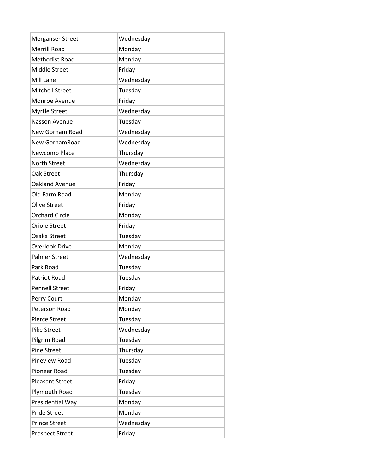| <b>Merganser Street</b> | Wednesday |
|-------------------------|-----------|
| <b>Merrill Road</b>     | Monday    |
| <b>Methodist Road</b>   | Monday    |
| Middle Street           | Friday    |
| Mill Lane               | Wednesday |
| <b>Mitchell Street</b>  | Tuesday   |
| Monroe Avenue           | Friday    |
| Myrtle Street           | Wednesday |
| <b>Nasson Avenue</b>    | Tuesday   |
| <b>New Gorham Road</b>  | Wednesday |
| New GorhamRoad          | Wednesday |
| Newcomb Place           | Thursday  |
| <b>North Street</b>     | Wednesday |
| Oak Street              | Thursday  |
| Oakland Avenue          | Friday    |
| Old Farm Road           | Monday    |
| <b>Olive Street</b>     | Friday    |
| <b>Orchard Circle</b>   | Monday    |
| <b>Oriole Street</b>    | Friday    |
| Osaka Street            | Tuesday   |
| <b>Overlook Drive</b>   | Monday    |
| <b>Palmer Street</b>    | Wednesday |
| Park Road               | Tuesday   |
| <b>Patriot Road</b>     | Tuesday   |
| <b>Pennell Street</b>   | Friday    |
| Perry Court             | Monday    |
| Peterson Road           | Monday    |
| Pierce Street           | Tuesday   |
| Pike Street             | Wednesday |
| Pilgrim Road            | Tuesday   |
| <b>Pine Street</b>      | Thursday  |
| Pineview Road           | Tuesday   |
| Pioneer Road            | Tuesday   |
| <b>Pleasant Street</b>  | Friday    |
| Plymouth Road           | Tuesday   |
| Presidential Way        | Monday    |
| <b>Pride Street</b>     | Monday    |
| <b>Prince Street</b>    | Wednesday |
| Prospect Street         | Friday    |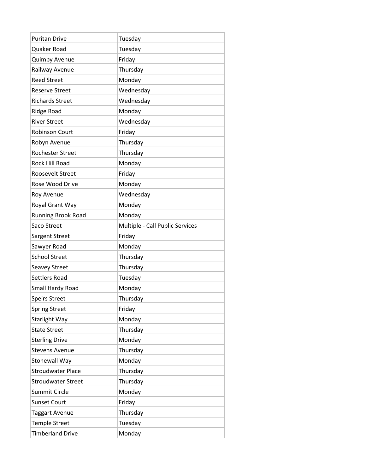| <b>Puritan Drive</b>      | Tuesday                         |
|---------------------------|---------------------------------|
| Quaker Road               | Tuesday                         |
| <b>Quimby Avenue</b>      | Friday                          |
| Railway Avenue            | Thursday                        |
| <b>Reed Street</b>        | Monday                          |
| <b>Reserve Street</b>     | Wednesday                       |
| <b>Richards Street</b>    | Wednesday                       |
| Ridge Road                | Monday                          |
| <b>River Street</b>       | Wednesday                       |
| <b>Robinson Court</b>     | Friday                          |
| Robyn Avenue              | Thursday                        |
| <b>Rochester Street</b>   | Thursday                        |
| <b>Rock Hill Road</b>     | Monday                          |
| Roosevelt Street          | Friday                          |
| Rose Wood Drive           | Monday                          |
| Roy Avenue                | Wednesday                       |
| Royal Grant Way           | Monday                          |
| <b>Running Brook Road</b> | Monday                          |
| Saco Street               | Multiple - Call Public Services |
| Sargent Street            | Friday                          |
| Sawyer Road               | Monday                          |
| <b>School Street</b>      | Thursday                        |
| <b>Seavey Street</b>      | Thursday                        |
| <b>Settlers Road</b>      | Tuesday                         |
| Small Hardy Road          | Monday                          |
| <b>Speirs Street</b>      | Thursday                        |
| <b>Spring Street</b>      | Friday                          |
| <b>Starlight Way</b>      | Monday                          |
| <b>State Street</b>       | Thursday                        |
| <b>Sterling Drive</b>     | Monday                          |
| <b>Stevens Avenue</b>     | Thursday                        |
| Stonewall Way             | Monday                          |
| <b>Stroudwater Place</b>  | Thursday                        |
| <b>Stroudwater Street</b> | Thursday                        |
| Summit Circle             | Monday                          |
| <b>Sunset Court</b>       | Friday                          |
| <b>Taggart Avenue</b>     | Thursday                        |
| <b>Temple Street</b>      | Tuesday                         |
| <b>Timberland Drive</b>   | Monday                          |